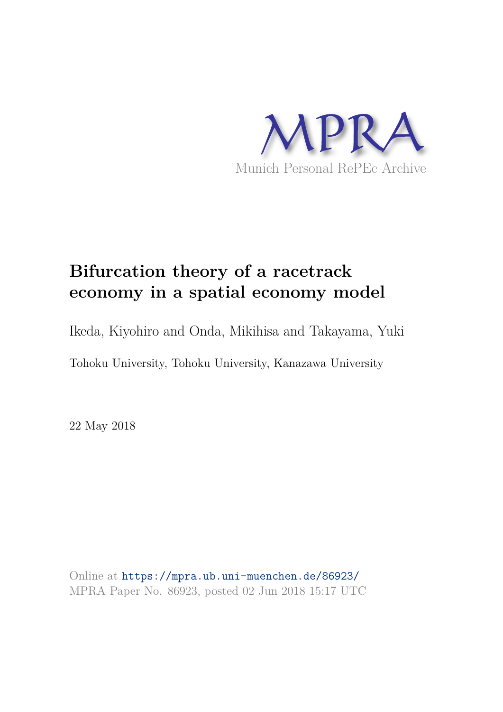

# **Bifurcation theory of a racetrack economy in a spatial economy model**

Ikeda, Kiyohiro and Onda, Mikihisa and Takayama, Yuki

Tohoku University, Tohoku University, Kanazawa University

22 May 2018

Online at https://mpra.ub.uni-muenchen.de/86923/ MPRA Paper No. 86923, posted 02 Jun 2018 15:17 UTC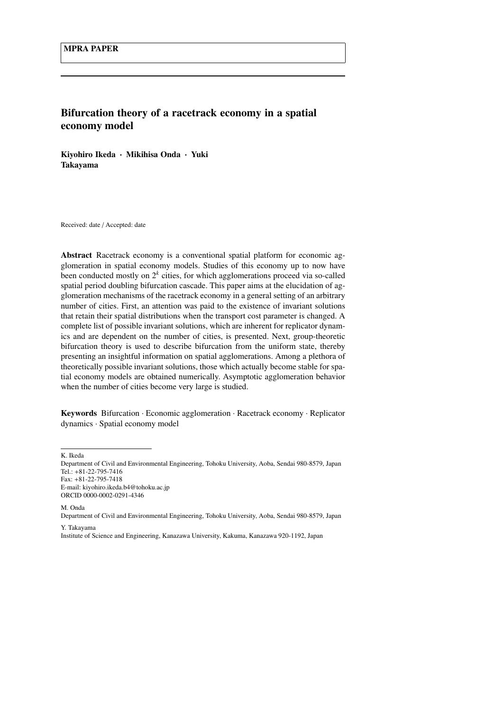## Bifurcation theory of a racetrack economy in a spatial economy model

Kiyohiro Ikeda · Mikihisa Onda · Yuki Takayama

Received: date / Accepted: date

Abstract Racetrack economy is a conventional spatial platform for economic agglomeration in spatial economy models. Studies of this economy up to now have been conducted mostly on 2*<sup>k</sup>* cities, for which agglomerations proceed via so-called spatial period doubling bifurcation cascade. This paper aims at the elucidation of agglomeration mechanisms of the racetrack economy in a general setting of an arbitrary number of cities. First, an attention was paid to the existence of invariant solutions that retain their spatial distributions when the transport cost parameter is changed. A complete list of possible invariant solutions, which are inherent for replicator dynamics and are dependent on the number of cities, is presented. Next, group-theoretic bifurcation theory is used to describe bifurcation from the uniform state, thereby presenting an insightful information on spatial agglomerations. Among a plethora of theoretically possible invariant solutions, those which actually become stable for spatial economy models are obtained numerically. Asymptotic agglomeration behavior when the number of cities become very large is studied.

Keywords Bifurcation · Economic agglomeration · Racetrack economy · Replicator dynamics · Spatial economy model

K. Ikeda

M. Onda

Department of Civil and Environmental Engineering, Tohoku University, Aoba, Sendai 980-8579, Japan Tel.: +81-22-795-7416 Fax: +81-22-795-7418 E-mail: kiyohiro.ikeda.b4@tohoku.ac.jp ORCID 0000-0002-0291-4346

Department of Civil and Environmental Engineering, Tohoku University, Aoba, Sendai 980-8579, Japan Y. Takayama

Institute of Science and Engineering, Kanazawa University, Kakuma, Kanazawa 920-1192, Japan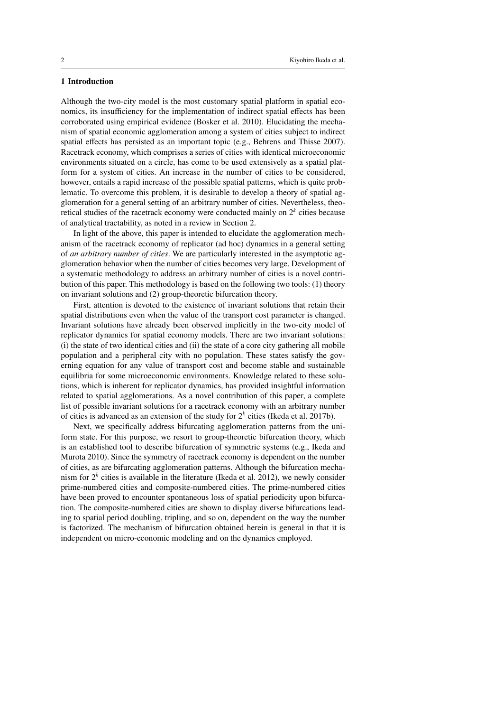## 1 Introduction

Although the two-city model is the most customary spatial platform in spatial economics, its insufficiency for the implementation of indirect spatial effects has been corroborated using empirical evidence (Bosker et al. 2010). Elucidating the mechanism of spatial economic agglomeration among a system of cities subject to indirect spatial effects has persisted as an important topic (e.g., Behrens and Thisse 2007). Racetrack economy, which comprises a series of cities with identical microeconomic environments situated on a circle, has come to be used extensively as a spatial platform for a system of cities. An increase in the number of cities to be considered, however, entails a rapid increase of the possible spatial patterns, which is quite problematic. To overcome this problem, it is desirable to develop a theory of spatial agglomeration for a general setting of an arbitrary number of cities. Nevertheless, theoretical studies of the racetrack economy were conducted mainly on 2*<sup>k</sup>* cities because of analytical tractability, as noted in a review in Section 2.

In light of the above, this paper is intended to elucidate the agglomeration mechanism of the racetrack economy of replicator (ad hoc) dynamics in a general setting of *an arbitrary number of cities*. We are particularly interested in the asymptotic agglomeration behavior when the number of cities becomes very large. Development of a systematic methodology to address an arbitrary number of cities is a novel contribution of this paper. This methodology is based on the following two tools: (1) theory on invariant solutions and (2) group-theoretic bifurcation theory.

First, attention is devoted to the existence of invariant solutions that retain their spatial distributions even when the value of the transport cost parameter is changed. Invariant solutions have already been observed implicitly in the two-city model of replicator dynamics for spatial economy models. There are two invariant solutions: (i) the state of two identical cities and (ii) the state of a core city gathering all mobile population and a peripheral city with no population. These states satisfy the governing equation for any value of transport cost and become stable and sustainable equilibria for some microeconomic environments. Knowledge related to these solutions, which is inherent for replicator dynamics, has provided insightful information related to spatial agglomerations. As a novel contribution of this paper, a complete list of possible invariant solutions for a racetrack economy with an arbitrary number of cities is advanced as an extension of the study for 2*<sup>k</sup>* cities (Ikeda et al. 2017b).

Next, we specifically address bifurcating agglomeration patterns from the uniform state. For this purpose, we resort to group-theoretic bifurcation theory, which is an established tool to describe bifurcation of symmetric systems (e.g., Ikeda and Murota 2010). Since the symmetry of racetrack economy is dependent on the number of cities, as are bifurcating agglomeration patterns. Although the bifurcation mechanism for 2*<sup>k</sup>* cities is available in the literature (Ikeda et al. 2012), we newly consider prime-numbered cities and composite-numbered cities. The prime-numbered cities have been proved to encounter spontaneous loss of spatial periodicity upon bifurcation. The composite-numbered cities are shown to display diverse bifurcations leading to spatial period doubling, tripling, and so on, dependent on the way the number is factorized. The mechanism of bifurcation obtained herein is general in that it is independent on micro-economic modeling and on the dynamics employed.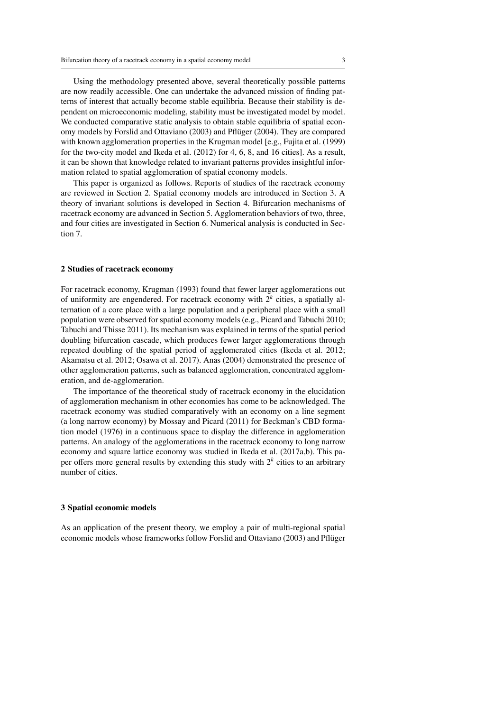Using the methodology presented above, several theoretically possible patterns are now readily accessible. One can undertake the advanced mission of finding patterns of interest that actually become stable equilibria. Because their stability is dependent on microeconomic modeling, stability must be investigated model by model. We conducted comparative static analysis to obtain stable equilibria of spatial economy models by Forslid and Ottaviano (2003) and Pfluger (2004). They are compared ¨ with known agglomeration properties in the Krugman model [e.g., Fujita et al. (1999) for the two-city model and Ikeda et al. (2012) for 4, 6, 8, and 16 cities]. As a result, it can be shown that knowledge related to invariant patterns provides insightful information related to spatial agglomeration of spatial economy models.

This paper is organized as follows. Reports of studies of the racetrack economy are reviewed in Section 2. Spatial economy models are introduced in Section 3. A theory of invariant solutions is developed in Section 4. Bifurcation mechanisms of racetrack economy are advanced in Section 5. Agglomeration behaviors of two, three, and four cities are investigated in Section 6. Numerical analysis is conducted in Section 7.

#### 2 Studies of racetrack economy

For racetrack economy, Krugman (1993) found that fewer larger agglomerations out of uniformity are engendered. For racetrack economy with  $2^k$  cities, a spatially alternation of a core place with a large population and a peripheral place with a small population were observed for spatial economy models (e.g., Picard and Tabuchi 2010; Tabuchi and Thisse 2011). Its mechanism was explained in terms of the spatial period doubling bifurcation cascade, which produces fewer larger agglomerations through repeated doubling of the spatial period of agglomerated cities (Ikeda et al. 2012; Akamatsu et al. 2012; Osawa et al. 2017). Anas (2004) demonstrated the presence of other agglomeration patterns, such as balanced agglomeration, concentrated agglomeration, and de-agglomeration.

The importance of the theoretical study of racetrack economy in the elucidation of agglomeration mechanism in other economies has come to be acknowledged. The racetrack economy was studied comparatively with an economy on a line segment (a long narrow economy) by Mossay and Picard (2011) for Beckman's CBD formation model (1976) in a continuous space to display the difference in agglomeration patterns. An analogy of the agglomerations in the racetrack economy to long narrow economy and square lattice economy was studied in Ikeda et al. (2017a,b). This paper offers more general results by extending this study with 2*<sup>k</sup>* cities to an arbitrary number of cities.

## 3 Spatial economic models

As an application of the present theory, we employ a pair of multi-regional spatial economic models whose frameworks follow Forslid and Ottaviano (2003) and Pflüger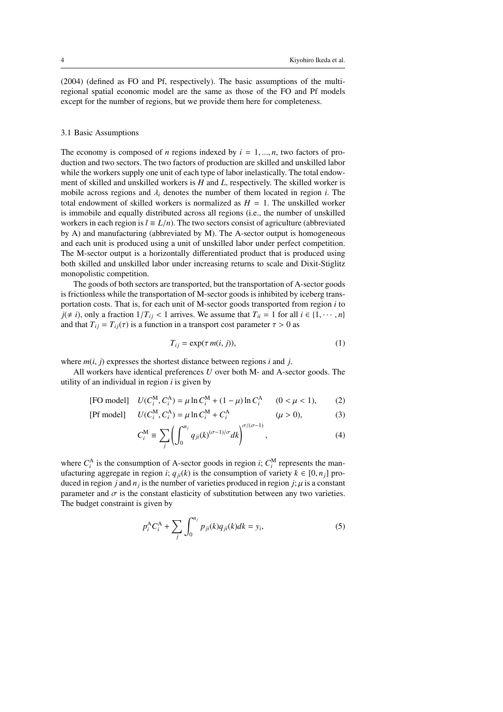(2004) (defined as FO and Pf, respectively). The basic assumptions of the multiregional spatial economic model are the same as those of the FO and Pf models except for the number of regions, but we provide them here for completeness.

## 3.1 Basic Assumptions

The economy is composed of *n* regions indexed by  $i = 1, \ldots, n$ , two factors of production and two sectors. The two factors of production are skilled and unskilled labor while the workers supply one unit of each type of labor inelastically. The total endowment of skilled and unskilled workers is *H* and *L*, respectively. The skilled worker is mobile across regions and  $\lambda_i$  denotes the number of them located in region *i*. The total endowment of skilled workers is normalized as  $H = 1$ . The unskilled worker is immobile and equally distributed across all regions (i.e., the number of unskilled workers in each region is  $l \equiv L/n$ . The two sectors consist of agriculture (abbreviated by A) and manufacturing (abbreviated by M). The A-sector output is homogeneous and each unit is produced using a unit of unskilled labor under perfect competition. The M-sector output is a horizontally differentiated product that is produced using both skilled and unskilled labor under increasing returns to scale and Dixit-Stiglitz monopolistic competition.

The goods of both sectors are transported, but the transportation of A-sector goods is frictionless while the transportation of M-sector goods is inhibited by iceberg transportation costs. That is, for each unit of M-sector goods transported from region *i* to *j*( $\neq$  *i*), only a fraction 1/*T*<sub>*i*</sub> < 1 arrives. We assume that *T*<sup>*i*</sup> = 1 for all *i* ∈ {1, · · · , *n*} and that  $T_{ij} = T_{ij}(\tau)$  is a function in a transport cost parameter  $\tau > 0$  as

$$
T_{ij} = \exp(\tau m(i, j)),\tag{1}
$$

where  $m(i, j)$  expresses the shortest distance between regions *i* and *j*.

All workers have identical preferences *U* over both M- and A-sector goods. The utility of an individual in region *i* is given by

[FO model] 
$$
U(C_i^M, C_i^A) = \mu \ln C_i^M + (1 - \mu) \ln C_i^A
$$
  $(0 < \mu < 1),$  (2)

[Pf model] 
$$
U(C_i^M, C_i^A) = \mu \ln C_i^M + C_i^A
$$
  $(\mu > 0),$  (3)

$$
C_i^{\mathbf{M}} \equiv \sum_j \left( \int_0^{n_j} q_{ji}(k)^{(\sigma - 1)/\sigma} dk \right)^{\sigma/(\sigma - 1)}, \tag{4}
$$

where  $C_i^A$  is the consumption of A-sector goods in region *i*;  $C_i^M$  represents the manufacturing aggregate in region *i*;  $q_{ji}(k)$  is the consumption of variety  $k \in [0, n_j]$  produced in region *j* and  $n_j$  is the number of varieties produced in region *j*;  $\mu$  is a constant parameter and  $\sigma$  is the constant elasticity of substitution between any two varieties. The budget constraint is given by

$$
p_i^A C_i^A + \sum_j \int_0^{n_j} p_{ji}(k) q_{ji}(k) dk = y_i,
$$
 (5)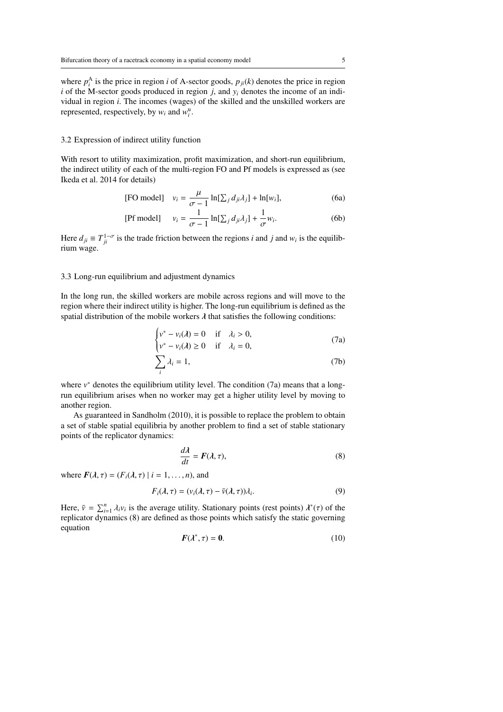where  $p_i^A$  is the price in region *i* of A-sector goods,  $p_{ji}(k)$  denotes the price in region  $i$  of the M-sector goods produced in region  $j$ , and  $y_i$  denotes the income of an individual in region *i*. The incomes (wages) of the skilled and the unskilled workers are represented, respectively, by  $w_i$  and  $w_i^u$ .

## 3.2 Expression of indirect utility function

With resort to utility maximization, profit maximization, and short-run equilibrium, the indirect utility of each of the multi-region FO and Pf models is expressed as (see Ikeda et al. 2014 for details)

[FO model] 
$$
v_i = \frac{\mu}{\sigma - 1} \ln[\sum_j d_{ji} \lambda_j] + \ln[w_i],
$$
 (6a)

[Pf model] 
$$
v_i = \frac{1}{\sigma - 1} \ln[\sum_j d_{ji} \lambda_j] + \frac{1}{\sigma} w_i.
$$
 (6b)

Here  $d_{ji} \equiv T_{ji}^{1-\sigma}$  is the trade friction between the regions *i* and *j* and *w<sub>i</sub>* is the equilibrium wage.

## 3.3 Long-run equilibrium and adjustment dynamics

In the long run, the skilled workers are mobile across regions and will move to the region where their indirect utility is higher. The long-run equilibrium is defined as the spatial distribution of the mobile workers  $\lambda$  that satisfies the following conditions:

$$
\begin{cases}\nv^* - v_i(\lambda) = 0 & \text{if } \lambda_i > 0, \\
v^* - v_i(\lambda) \ge 0 & \text{if } \lambda_i = 0,\n\end{cases}
$$
\n(7a)

$$
\sum_{i} \lambda_i = 1,\tag{7b}
$$

where  $v^*$  denotes the equilibrium utility level. The condition  $(7a)$  means that a longrun equilibrium arises when no worker may get a higher utility level by moving to another region.

As guaranteed in Sandholm (2010), it is possible to replace the problem to obtain a set of stable spatial equilibria by another problem to find a set of stable stationary points of the replicator dynamics:

$$
\frac{d\lambda}{dt} = F(\lambda, \tau),\tag{8}
$$

where  $F(\lambda, \tau) = (F_i(\lambda, \tau) | i = 1, \ldots, n)$ , and

$$
F_i(\lambda, \tau) = (v_i(\lambda, \tau) - \bar{v}(\lambda, \tau))\lambda_i.
$$
\n(9)

Here,  $\bar{v} = \sum_{i=1}^{n} \lambda_i v_i$  is the average utility. Stationary points (rest points)  $\lambda^*(\tau)$  of the replicator dynamics (8) are defined as those points which satisfy the static governing equation

$$
F(\lambda^*, \tau) = 0. \tag{10}
$$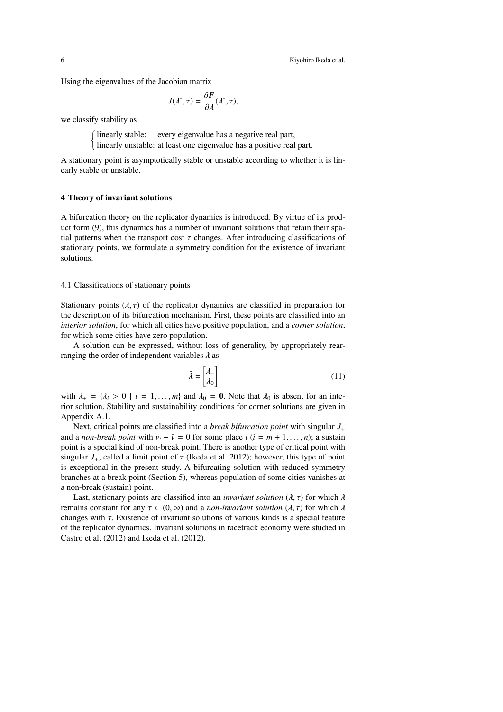Using the eigenvalues of the Jacobian matrix

$$
J(\lambda^*, \tau) = \frac{\partial F}{\partial \lambda}(\lambda^*, \tau),
$$

we classify stability as

(linearly stable: every eigenvalue has a negative real part, linearly unstable: at least one eigenvalue has a positive real part.

A stationary point is asymptotically stable or unstable according to whether it is linearly stable or unstable.

#### 4 Theory of invariant solutions

A bifurcation theory on the replicator dynamics is introduced. By virtue of its product form (9), this dynamics has a number of invariant solutions that retain their spatial patterns when the transport cost  $\tau$  changes. After introducing classifications of stationary points, we formulate a symmetry condition for the existence of invariant solutions.

## 4.1 Classifications of stationary points

Stationary points  $(\lambda, \tau)$  of the replicator dynamics are classified in preparation for the description of its bifurcation mechanism. First, these points are classified into an *interior solution*, for which all cities have positive population, and a *corner solution*, for which some cities have zero population.

A solution can be expressed, without loss of generality, by appropriately rearranging the order of independent variables  $\lambda$  as

$$
\hat{\lambda} = \begin{bmatrix} \lambda_+ \\ \lambda_0 \end{bmatrix} \tag{11}
$$

with  $\lambda_+ = {\lambda_i > 0 \mid i = 1, ..., m}$  and  $\lambda_0 = 0$ . Note that  $\lambda_0$  is absent for an interior solution. Stability and sustainability conditions for corner solutions are given in Appendix A.1.

Next, critical points are classified into a *break bifurcation point* with singular *J*<sup>+</sup> and a *non-break point* with  $v_i - \bar{v} = 0$  for some place  $i$  ( $i = m + 1, ..., n$ ); a sustain point is a special kind of non-break point. There is another type of critical point with singular  $J_+$ , called a limit point of  $\tau$  (Ikeda et al. 2012); however, this type of point is exceptional in the present study. A bifurcating solution with reduced symmetry branches at a break point (Section 5), whereas population of some cities vanishes at a non-break (sustain) point.

Last, stationary points are classified into an *invariant solution*  $(\lambda, \tau)$  for which  $\lambda$ remains constant for any τ ∈ (0, ∞) and a *non-invariant solution* (λ, τ) for which λ changes with  $\tau$ . Existence of invariant solutions of various kinds is a special feature of the replicator dynamics. Invariant solutions in racetrack economy were studied in Castro et al. (2012) and Ikeda et al. (2012).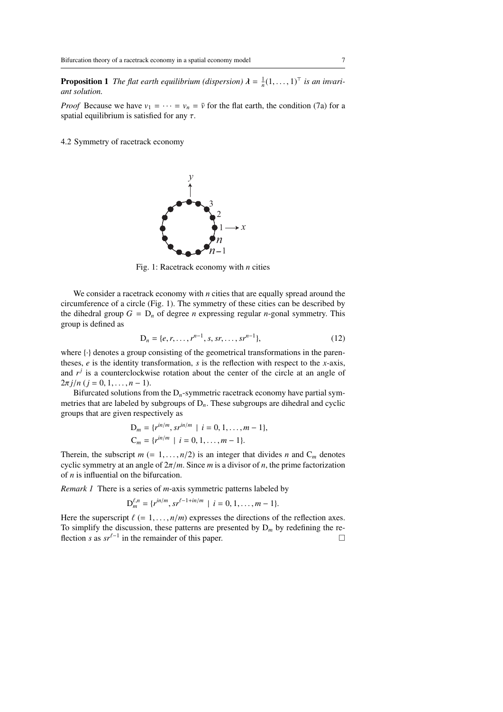**Proposition 1** The flat earth equilibrium (dispersion)  $\lambda = \frac{1}{n}(1, \ldots, 1)^T$  is an invari*ant solution.*

*Proof* Because we have  $v_1 = \cdots = v_n = \bar{v}$  for the flat earth, the condition (7a) for a spatial equilibrium is satisfied for any  $\tau$ .

4.2 Symmetry of racetrack economy



Fig. 1: Racetrack economy with *n* cities

We consider a racetrack economy with *n* cities that are equally spread around the circumference of a circle (Fig. 1). The symmetry of these cities can be described by the dihedral group  $G = D_n$  of degree *n* expressing regular *n*-gonal symmetry. This group is defined as

$$
D_n = \{e, r, \dots, r^{n-1}, s, sr, \dots, sr^{n-1}\},\tag{12}
$$

where  $\{\cdot\}$  denotes a group consisting of the geometrical transformations in the parentheses, *e* is the identity transformation, *s* is the reflection with respect to the *x*-axis, and  $r^j$  is a counterclockwise rotation about the center of the circle at an angle of  $2\pi j/n$  ( $j = 0, 1, ..., n - 1$ ).

Bifurcated solutions from the  $D_n$ -symmetric racetrack economy have partial symmetries that are labeled by subgroups of D*n*. These subgroups are dihedral and cyclic groups that are given respectively as

$$
D_m = \{r^{in/m}, sr^{in/m} \mid i = 0, 1, ..., m - 1\},
$$
  
\n
$$
C_m = \{r^{in/m} \mid i = 0, 1, ..., m - 1\}.
$$

Therein, the subscript  $m$  (= 1, ...,  $n/2$ ) is an integer that divides *n* and  $C_m$  denotes cyclic symmetry at an angle of 2π/*m*. Since *m* is a divisor of *n*, the prime factorization of *n* is influential on the bifurcation.

*Remark 1* There is a series of *m*-axis symmetric patterns labeled by

$$
D_m^{\ell,n} = \{r^{in/m}, sr^{\ell-1+in/m} \mid i = 0, 1, ..., m-1\}.
$$

Here the superscript  $\ell$  (= 1, ...,  $n/m$ ) expresses the directions of the reflection axes. To simplify the discussion, these patterns are presented by  $D_m$  by redefining the reflection *s* as  $sr^{\ell-1}$  in the remainder of this paper. □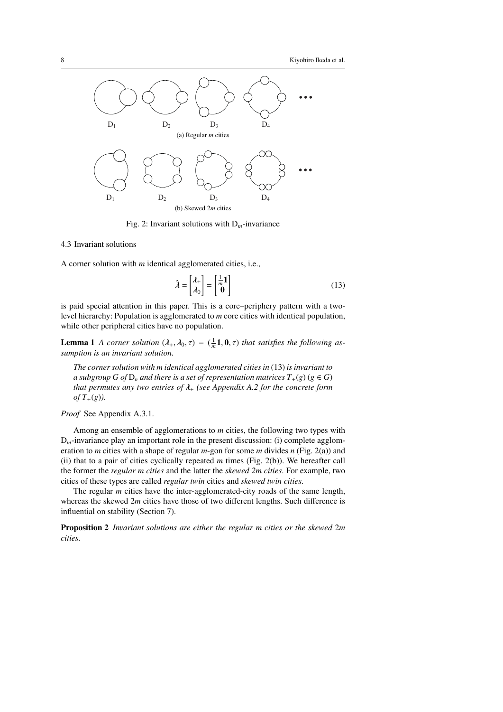

Fig. 2: Invariant solutions with D*m*-invariance

## 4.3 Invariant solutions

A corner solution with *m* identical agglomerated cities, i.e.,

$$
\hat{\lambda} = \begin{bmatrix} \lambda_+ \\ \lambda_0 \end{bmatrix} = \begin{bmatrix} \frac{1}{m} \mathbf{1} \\ \mathbf{0} \end{bmatrix}
$$
\n(13)

is paid special attention in this paper. This is a core–periphery pattern with a twolevel hierarchy: Population is agglomerated to *m* core cities with identical population, while other peripheral cities have no population.

**Lemma 1** *A corner solution*  $(\lambda_+, \lambda_0, \tau) = (\frac{1}{m}\mathbf{1}, \mathbf{0}, \tau)$  *that satisfies the following assumption is an invariant solution.*

*The corner solution with m identical agglomerated cities in* (13) *is invariant to a subgroup G of*  $D_n$  *and there is a set of representation matrices*  $T_+(g)$  ( $g \in G$ ) *that permutes any two entries of* λ<sup>+</sup> *(see Appendix A.2 for the concrete form of*  $T_{+}(g)$ *).* 

*Proof* See Appendix A.3.1.

Among an ensemble of agglomerations to *m* cities, the following two types with  $D_m$ -invariance play an important role in the present discussion: (i) complete agglomeration to *m* cities with a shape of regular *m*-gon for some *m* divides *n* (Fig. 2(a)) and (ii) that to a pair of cities cyclically repeated *m* times (Fig. 2(b)). We hereafter call the former the *regular m cities* and the latter the *skewed 2m cities*. For example, two cities of these types are called *regular twin* cities and *skewed twin cities*.

The regular *m* cities have the inter-agglomerated-city roads of the same length, whereas the skewed 2*m* cities have those of two different lengths. Such difference is influential on stability (Section 7).

Proposition 2 *Invariant solutions are either the regular m cities or the skewed* 2*m cities.*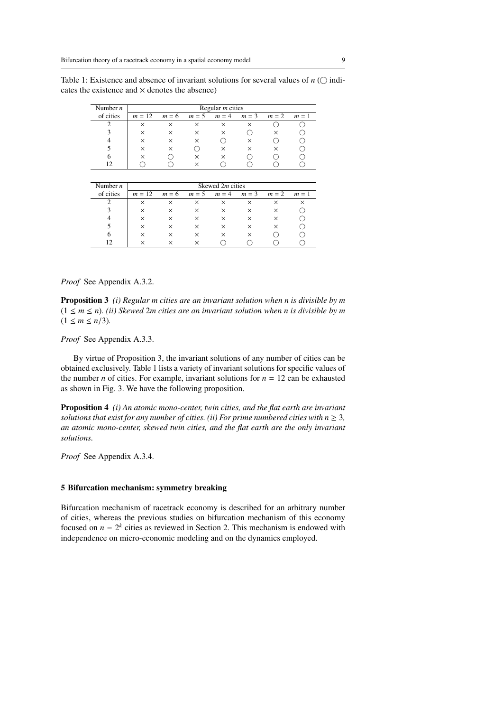Table 1: Existence and absence of invariant solutions for several values of  $n$  ( $\bigcirc$  indicates the existence and  $\times$  denotes the absence)

| Number $n$ | Regular $m$ cities |          |                 |          |             |   |       |  |  |  |
|------------|--------------------|----------|-----------------|----------|-------------|---|-------|--|--|--|
| of cities  | $m = 12$           | $m = 6$  | $m = 5$ $m = 4$ |          | $m=3$ $m=2$ |   | $m=1$ |  |  |  |
|            | $\times$           | ×        | ×               | $\times$ | ×           |   |       |  |  |  |
|            | ×                  | ×        |                 | $\times$ |             |   |       |  |  |  |
|            | $\times$           | ×        | ×               |          | ×           |   |       |  |  |  |
|            | $\times$           | $\times$ |                 | ×        | ×           | × |       |  |  |  |
|            |                    |          |                 | $\times$ |             |   |       |  |  |  |
|            |                    |          | $\times$        |          |             |   |       |  |  |  |

| Number $n$ | Skewed 2 <i>m</i> cities |          |          |          |          |             |       |  |  |  |
|------------|--------------------------|----------|----------|----------|----------|-------------|-------|--|--|--|
| of cities  | $m = 12$                 | $m = 6$  | $m=5$    | $m = 4$  |          | $m=3$ $m=2$ | $m=1$ |  |  |  |
|            |                          | ×        |          | ×        | ×        | ×           |       |  |  |  |
| 3          | ×                        | $\times$ | ×        | ×        | $\times$ | $\times$    |       |  |  |  |
|            | $\times$                 | $\times$ | ×        | $\times$ | $\times$ | $\times$    |       |  |  |  |
|            | $\times$                 | ×        | $\times$ | $\times$ | $\times$ | $\times$    |       |  |  |  |
| 6          | $\times$                 | ×        | ×        | ×        | $\times$ |             |       |  |  |  |
| 12         |                          |          |          |          |          |             |       |  |  |  |

## *Proof* See Appendix A.3.2.

Proposition 3 *(i) Regular m cities are an invariant solution when n is divisible by m*  $(1 \leq m \leq n)$ . *(ii) Skewed 2m cities are an invariant solution when n is divisible by m*  $(1 \le m \le n/3)$ .

*Proof* See Appendix A.3.3.

By virtue of Proposition 3, the invariant solutions of any number of cities can be obtained exclusively. Table 1 lists a variety of invariant solutions for specific values of the number *n* of cities. For example, invariant solutions for  $n = 12$  can be exhausted as shown in Fig. 3. We have the following proposition.

Proposition 4 *(i) An atomic mono-center, twin cities, and the flat earth are invariant solutions that exist for any number of cities. (ii) For prime numbered cities with*  $n \geq 3$ *, an atomic mono-center, skewed twin cities, and the flat earth are the only invariant solutions.*

*Proof* See Appendix A.3.4.

## 5 Bifurcation mechanism: symmetry breaking

Bifurcation mechanism of racetrack economy is described for an arbitrary number of cities, whereas the previous studies on bifurcation mechanism of this economy focused on  $n = 2^k$  cities as reviewed in Section 2. This mechanism is endowed with independence on micro-economic modeling and on the dynamics employed.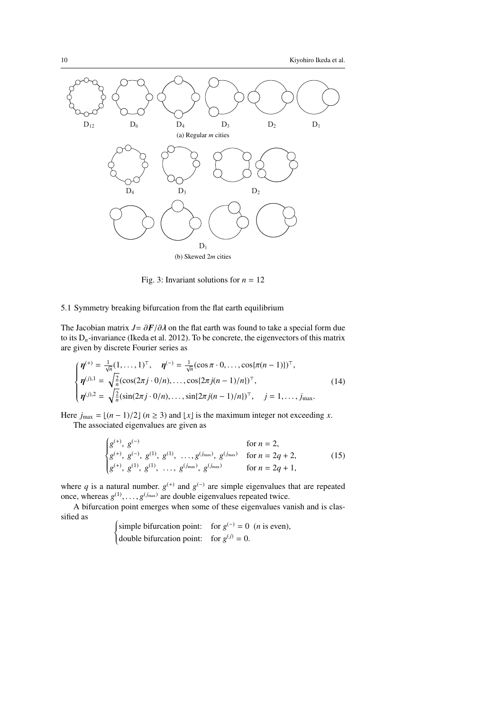

Fig. 3: Invariant solutions for  $n = 12$ 

## 5.1 Symmetry breaking bifurcation from the flat earth equilibrium

The Jacobian matrix  $J = \frac{\partial F}{\partial \lambda}$  on the flat earth was found to take a special form due to its  $D_n$ -invariance (Ikeda et al. 2012). To be concrete, the eigenvectors of this matrix are given by discrete Fourier series as

$$
\begin{cases}\n\eta^{(+)} = \frac{1}{\sqrt{n}} (1, \dots, 1)^{\top}, \quad \eta^{(-)} = \frac{1}{\sqrt{n}} (\cos \pi \cdot 0, \dots, \cos \{\pi (n-1)\})^{\top}, \\
\eta^{(j),1} = \sqrt{\frac{2}{n}} (\cos(2\pi j \cdot 0/n), \dots, \cos \{2\pi j(n-1)/n\})^{\top}, \\
\eta^{(j),2} = \sqrt{\frac{2}{n}} (\sin(2\pi j \cdot 0/n), \dots, \sin \{2\pi j(n-1)/n\})^{\top}, \quad j = 1, \dots, j_{\text{max}}.\n\end{cases}
$$
\n(14)

Here  $j_{\text{max}} = \lfloor (n-1)/2 \rfloor$   $(n \ge 3)$  and  $\lfloor x \rfloor$  is the maximum integer not exceeding *x*. The associated eigenvalues are given as

$$
\begin{cases}\ng^{(+)},\ g^{(-)} & \text{for } n = 2, \\
g^{(+)},\ g^{(-)},\ g^{(1)},\ g^{(1)},\ \ldots,g^{(j_{\text{max}})},\ g^{(j_{\text{max}})} & \text{for } n = 2q + 2, \\
g^{(+)},\ g^{(1)},\ g^{(1)},\ \ldots,\ g^{(j_{\text{max}})},\ g^{(j_{\text{max}})} & \text{for } n = 2q + 1,\n\end{cases}
$$
\n(15)

where q is a natural number.  $g^{(+)}$  and  $g^{(-)}$  are simple eigenvalues that are repeated once, whereas  $g^{(1)}, \ldots, g^{(j_{\text{max}})}$  are double eigenvalues repeated twice.

A bifurcation point emerges when some of these eigenvalues vanish and is classified as

 $\int \text{simple bifurcation point:}$  for  $g^{(-)} = 0$  (*n* is even), (double bifurcation point: for  $g^{(j)} = 0$ .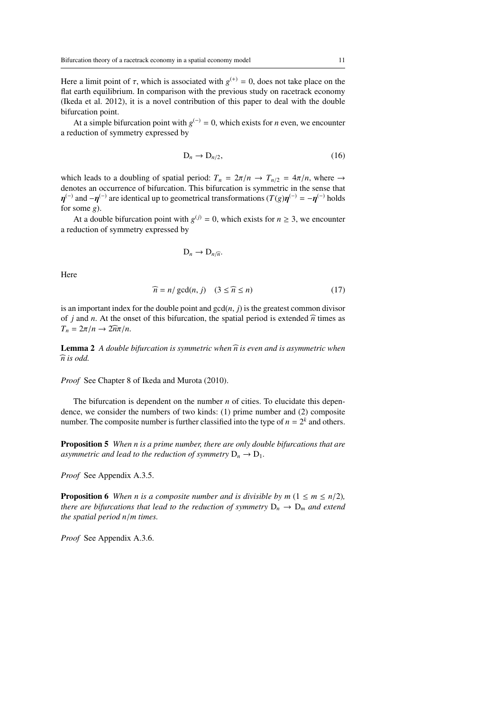Here a limit point of  $\tau$ , which is associated with  $g^{(+)} = 0$ , does not take place on the flat earth equilibrium. In comparison with the previous study on racetrack economy (Ikeda et al. 2012), it is a novel contribution of this paper to deal with the double bifurcation point.

At a simple bifurcation point with  $g^{(-)} = 0$ , which exists for *n* even, we encounter a reduction of symmetry expressed by

$$
D_n \to D_{n/2},\tag{16}
$$

which leads to a doubling of spatial period:  $T_n = 2\pi/n \rightarrow T_{n/2} = 4\pi/n$ , where  $\rightarrow$ denotes an occurrence of bifurcation. This bifurcation is symmetric in the sense that  $\eta^{(-)}$  and  $-\eta^{(-)}$  are identical up to geometrical transformations ( $T(g)\eta^{(-)} = -\eta^{(-)}$  holds for some *g*).

At a double bifurcation point with  $g^{(j)} = 0$ , which exists for  $n \ge 3$ , we encounter a reduction of symmetry expressed by

$$
D_n \to D_{n/\widehat{n}}.
$$

Here

$$
\widehat{n} = n / \gcd(n, j) \quad (3 \le \widehat{n} \le n)
$$
\n(17)

is an important index for the double point and  $gcd(n, j)$  is the greatest common divisor of *j* and *n*. At the onset of this bifurcation, the spatial period is extended  $\hat{n}$  times as  $T_n = 2\pi/n \rightarrow 2\widehat{n}\pi/n$ .

**Lemma 2** *A double bifurcation is symmetric when*  $\widehat{n}$  *is even and is asymmetric when*  $\widehat{n}$  is odd.

*Proof* See Chapter 8 of Ikeda and Murota (2010).

The bifurcation is dependent on the number *n* of cities. To elucidate this dependence, we consider the numbers of two kinds: (1) prime number and (2) composite number. The composite number is further classified into the type of  $n = 2<sup>k</sup>$  and others.

Proposition 5 *When n is a prime number, there are only double bifurcations that are asymmetric and lead to the reduction of symmetry*  $D_n \to D_1$ *.* 

*Proof* See Appendix A.3.5.

**Proposition 6** *When n is a composite number and is divisible by m* ( $1 \le m \le n/2$ )*, there are bifurcations that lead to the reduction of symmetry*  $D_n \rightarrow D_m$  *and extend the spatial period n*/*m times.*

*Proof* See Appendix A.3.6.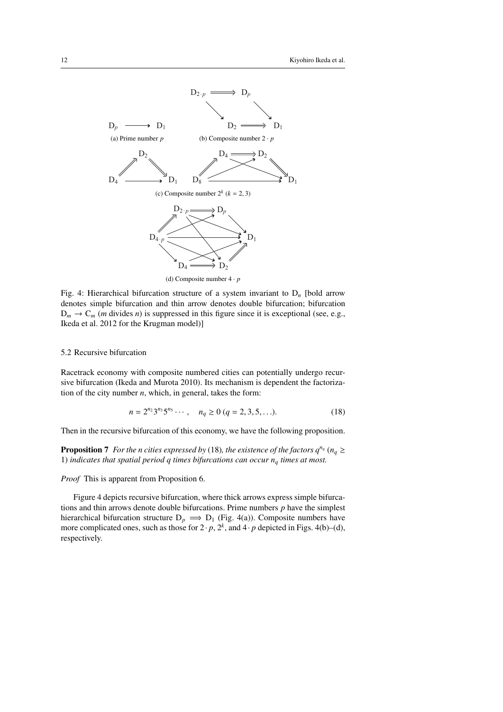

Fig. 4: Hierarchical bifurcation structure of a system invariant to D*<sup>n</sup>* [bold arrow denotes simple bifurcation and thin arrow denotes double bifurcation; bifurcation  $D_m \rightarrow C_m$  (*m* divides *n*) is suppressed in this figure since it is exceptional (see, e.g., Ikeda et al. 2012 for the Krugman model)]

## 5.2 Recursive bifurcation

Racetrack economy with composite numbered cities can potentially undergo recursive bifurcation (Ikeda and Murota 2010). Its mechanism is dependent the factorization of the city number  $n$ , which, in general, takes the form:

$$
n = 2^{n_2} 3^{n_3} 5^{n_5} \cdots, \quad n_q \ge 0 \ (q = 2, 3, 5, \ldots). \tag{18}
$$

Then in the recursive bifurcation of this economy, we have the following proposition.

**Proposition 7** *For the n cities expressed by* (18)*, the existence of the factors*  $q^{n_q}$  ( $n_q \ge$ 1) *indicates that spatial period q times bifurcations can occur*  $n_q$  *times at most.* 

*Proof* This is apparent from Proposition 6.

Figure 4 depicts recursive bifurcation, where thick arrows express simple bifurcations and thin arrows denote double bifurcations. Prime numbers *p* have the simplest hierarchical bifurcation structure  $D_p \implies D_1$  (Fig. 4(a)). Composite numbers have more complicated ones, such as those for  $2 \cdot p$ ,  $2^k$ , and  $4 \cdot p$  depicted in Figs. 4(b)–(d), respectively.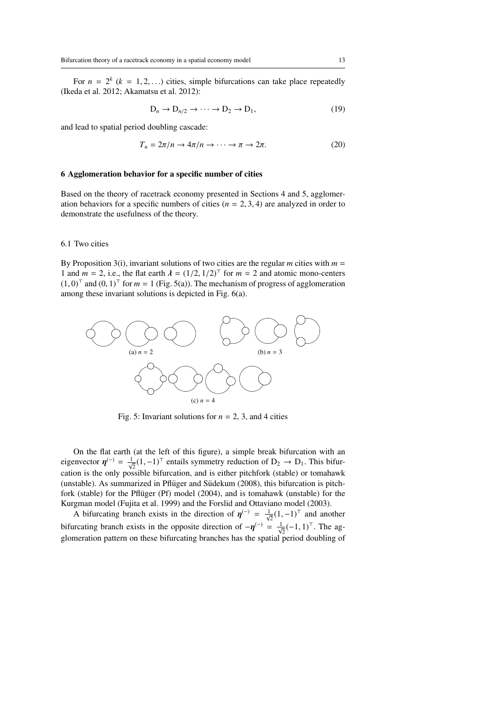For  $n = 2^k$  ( $k = 1, 2, ...$ ) cities, simple bifurcations can take place repeatedly (Ikeda et al. 2012; Akamatsu et al. 2012):

$$
D_n \to D_{n/2} \to \cdots \to D_2 \to D_1,\tag{19}
$$

and lead to spatial period doubling cascade:

$$
T_n = 2\pi/n \to 4\pi/n \to \cdots \to \pi \to 2\pi.
$$
 (20)

#### 6 Agglomeration behavior for a specific number of cities

Based on the theory of racetrack economy presented in Sections 4 and 5, agglomeration behaviors for a specific numbers of cities  $(n = 2, 3, 4)$  are analyzed in order to demonstrate the usefulness of the theory.

### 6.1 Two cities

By Proposition 3(i), invariant solutions of two cities are the regular *m* cities with  $m =$ 1 and  $m = 2$ , i.e., the flat earth  $\lambda = (1/2, 1/2)^T$  for  $m = 2$  and atomic mono-centers  $(1, 0)^\top$  and  $(0, 1)^\top$  for  $m = 1$  (Fig. 5(a)). The mechanism of progress of agglomeration among these invariant solutions is depicted in Fig. 6(a).



Fig. 5: Invariant solutions for  $n = 2, 3$ , and 4 cities

On the flat earth (at the left of this figure), a simple break bifurcation with an eigenvector  $\eta^{(-)} = \frac{1}{\sqrt{2}} (1, -1)^{\top}$  entails symmetry reduction of  $D_2 \to D_1$ . This bifurcation is the only possible bifurcation, and is either pitchfork (stable) or tomahawk (unstable). As summarized in Pflüger and Südekum  $(2008)$ , this bifurcation is pitchfork (stable) for the Pflüger (Pf) model (2004), and is tomahawk (unstable) for the Kurgman model (Fujita et al. 1999) and the Forslid and Ottaviano model (2003).

A bifurcating branch exists in the direction of  $\eta^{(-)} = \frac{1}{\sqrt{2}}(1, -1)^{\top}$  and another bifurcating branch exists in the opposite direction of  $-\eta^{(-)} = \frac{1}{\sqrt{2}}(-1, 1)^{\top}$ . The agglomeration pattern on these bifurcating branches has the spatial period doubling of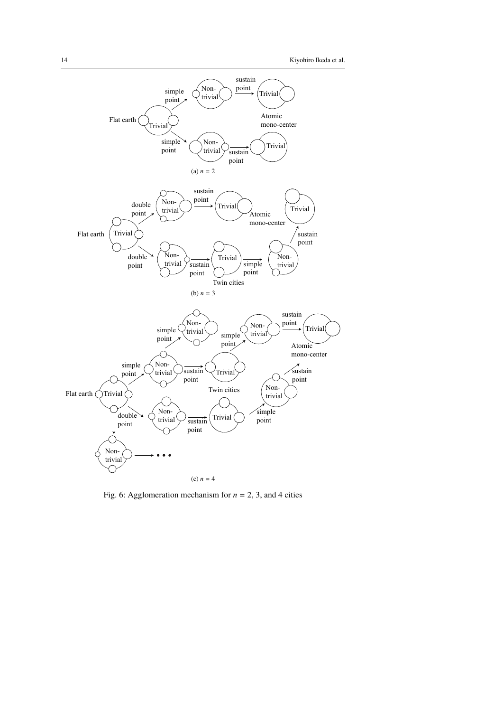

Fig. 6: Agglomeration mechanism for  $n = 2$ , 3, and 4 cities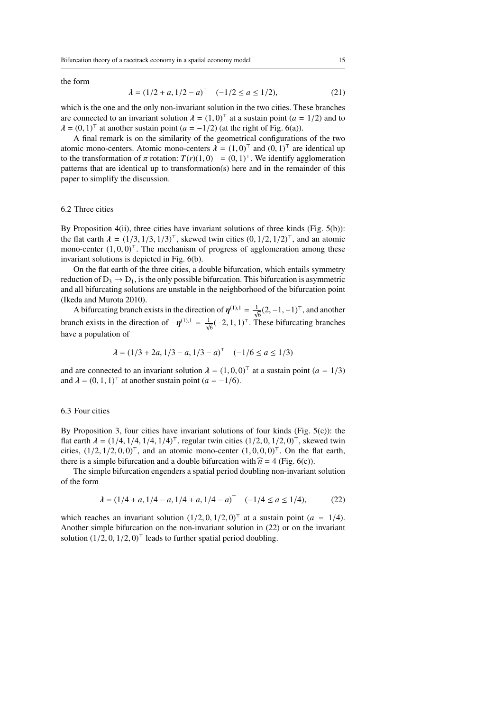the form

$$
\lambda = (1/2 + a, 1/2 - a)^{\top} \quad (-1/2 \le a \le 1/2), \tag{21}
$$

which is the one and the only non-invariant solution in the two cities. These branches are connected to an invariant solution  $\lambda = (1, 0)^T$  at a sustain point  $(a = 1/2)$  and to  $\lambda = (0, 1)^\top$  at another sustain point  $(a = -1/2)$  (at the right of Fig. 6(a)).

A final remark is on the similarity of the geometrical configurations of the two atomic mono-centers. Atomic mono-centers  $\lambda = (1, 0)^T$  and  $(0, 1)^T$  are identical up to the transformation of  $\pi$  rotation:  $T(r)(1, 0)^\top = (0, 1)^\top$ . We identify agglomeration patterns that are identical up to transformation(s) here and in the remainder of this paper to simplify the discussion.

## 6.2 Three cities

By Proposition 4(ii), three cities have invariant solutions of three kinds (Fig. 5(b)): the flat earth  $\lambda = (1/3, 1/3, 1/3)^\top$ , skewed twin cities  $(0, 1/2, 1/2)^\top$ , and an atomic mono-center  $(1, 0, 0)^\top$ . The mechanism of progress of agglomeration among these invariant solutions is depicted in Fig. 6(b).

On the flat earth of the three cities, a double bifurcation, which entails symmetry reduction of  $D_3 \rightarrow D_1$ , is the only possible bifurcation. This bifurcation is asymmetric and all bifurcating solutions are unstable in the neighborhood of the bifurcation point (Ikeda and Murota 2010).

A bifurcating branch exists in the direction of  $\eta^{(1),1} = \frac{1}{\sqrt{6}}(2,-1,-1)^{\top}$ , and another branch exists in the direction of  $-\eta^{(1),1} = \frac{1}{\sqrt{6}}(-2, 1, 1)^\top$ . These bifurcating branches have a population of

$$
\lambda = (1/3 + 2a, 1/3 - a, 1/3 - a)^{\top} \quad (-1/6 \le a \le 1/3)
$$

and are connected to an invariant solution  $\lambda = (1, 0, 0)^T$  at a sustain point  $(a = 1/3)$ and  $\lambda = (0, 1, 1)^\top$  at another sustain point  $(a = -1/6)$ .

## 6.3 Four cities

By Proposition 3, four cities have invariant solutions of four kinds (Fig.  $5(c)$ ): the flat earth  $\lambda = (1/4, 1/4, 1/4, 1/4)^\top$ , regular twin cities  $(1/2, 0, 1/2, 0)^\top$ , skewed twin cities,  $(1/2, 1/2, 0, 0)^\top$ , and an atomic mono-center  $(1, 0, 0, 0)^\top$ . On the flat earth, there is a simple bifurcation and a double bifurcation with  $\hat{n} = 4$  (Fig. 6(c)).

The simple bifurcation engenders a spatial period doubling non-invariant solution of the form

$$
\lambda = (1/4 + a, 1/4 - a, 1/4 + a, 1/4 - a)^{\top} \quad (-1/4 \le a \le 1/4), \tag{22}
$$

which reaches an invariant solution  $(1/2, 0, 1/2, 0)^\top$  at a sustain point  $(a = 1/4)$ . Another simple bifurcation on the non-invariant solution in (22) or on the invariant solution  $(1/2, 0, 1/2, 0)$ <sup>™</sup> leads to further spatial period doubling.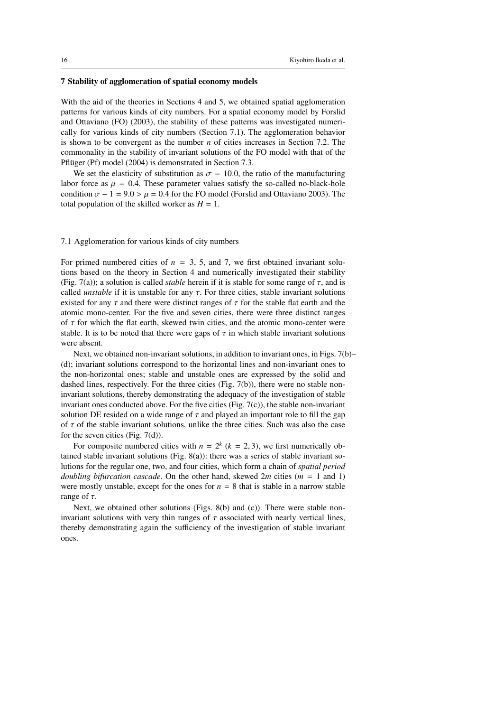## 7 Stability of agglomeration of spatial economy models

With the aid of the theories in Sections 4 and 5, we obtained spatial agglomeration patterns for various kinds of city numbers. For a spatial economy model by Forslid and Ottaviano (FO) (2003), the stability of these patterns was investigated numerically for various kinds of city numbers (Section 7.1). The agglomeration behavior is shown to be convergent as the number *n* of cities increases in Section 7.2. The commonality in the stability of invariant solutions of the FO model with that of the Pflüger (Pf) model (2004) is demonstrated in Section 7.3.

We set the elasticity of substitution as  $\sigma = 10.0$ , the ratio of the manufacturing labor force as  $\mu = 0.4$ . These parameter values satisfy the so-called no-black-hole condition  $\sigma - 1 = 9.0 > \mu = 0.4$  for the FO model (Forslid and Ottaviano 2003). The total population of the skilled worker as  $H = 1$ .

#### 7.1 Agglomeration for various kinds of city numbers

For primed numbered cities of  $n = 3, 5,$  and 7, we first obtained invariant solutions based on the theory in Section 4 and numerically investigated their stability (Fig. 7(a)); a solution is called *stable* herein if it is stable for some range of  $\tau$ , and is called *unstable* if it is unstable for any  $\tau$ . For three cities, stable invariant solutions existed for any  $\tau$  and there were distinct ranges of  $\tau$  for the stable flat earth and the atomic mono-center. For the five and seven cities, there were three distinct ranges of  $\tau$  for which the flat earth, skewed twin cities, and the atomic mono-center were stable. It is to be noted that there were gaps of  $\tau$  in which stable invariant solutions were absent.

Next, we obtained non-invariant solutions, in addition to invariant ones, in Figs. 7(b)– (d); invariant solutions correspond to the horizontal lines and non-invariant ones to the non-horizontal ones; stable and unstable ones are expressed by the solid and dashed lines, respectively. For the three cities (Fig. 7(b)), there were no stable noninvariant solutions, thereby demonstrating the adequacy of the investigation of stable invariant ones conducted above. For the five cities (Fig. 7(c)), the stable non-invariant solution DE resided on a wide range of  $\tau$  and played an important role to fill the gap of  $\tau$  of the stable invariant solutions, unlike the three cities. Such was also the case for the seven cities (Fig. 7(d)).

For composite numbered cities with  $n = 2^k$  ( $k = 2, 3$ ), we first numerically obtained stable invariant solutions (Fig. 8(a)): there was a series of stable invariant solutions for the regular one, two, and four cities, which form a chain of *spatial period doubling bifurcation cascade*. On the other hand, skewed 2*m* cities (*m* = 1 and 1) were mostly unstable, except for the ones for  $n = 8$  that is stable in a narrow stable range of  $\tau$ .

Next, we obtained other solutions (Figs. 8(b) and (c)). There were stable noninvariant solutions with very thin ranges of  $\tau$  associated with nearly vertical lines, thereby demonstrating again the sufficiency of the investigation of stable invariant ones.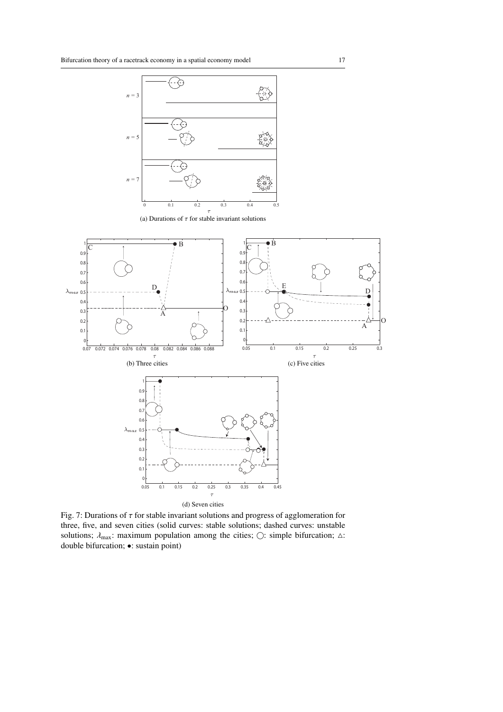

(a) Durations of  $\tau$  for stable invariant solutions



Fig. 7: Durations of  $\tau$  for stable invariant solutions and progress of agglomeration for three, five, and seven cities (solid curves: stable solutions; dashed curves: unstable solutions;  $\lambda_{\text{max}}$ : maximum population among the cities;  $\bigcirc$ : simple bifurcation;  $\triangle$ : double bifurcation; •: sustain point)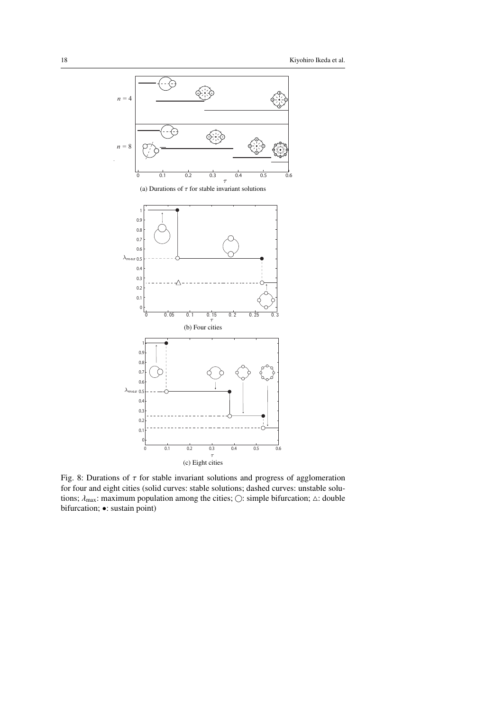

Fig. 8: Durations of  $\tau$  for stable invariant solutions and progress of agglomeration for four and eight cities (solid curves: stable solutions; dashed curves: unstable solutions;  $\lambda_{\text{max}}$ : maximum population among the cities;  $\bigcirc$ : simple bifurcation;  $\Delta$ : double bifurcation; •: sustain point)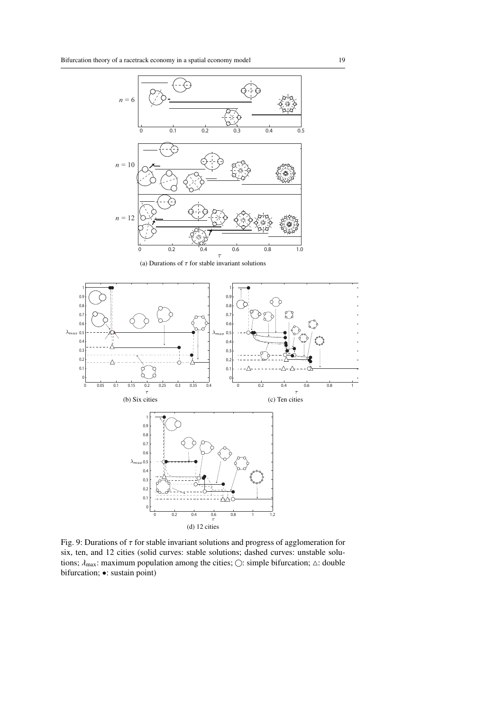

(a) Durations of  $\tau$  for stable invariant solutions



Fig. 9: Durations of  $\tau$  for stable invariant solutions and progress of agglomeration for six, ten, and 12 cities (solid curves: stable solutions; dashed curves: unstable solutions;  $\lambda_{\text{max}}$ : maximum population among the cities;  $\bigcirc$ : simple bifurcation;  $\Delta$ : double bifurcation; •: sustain point)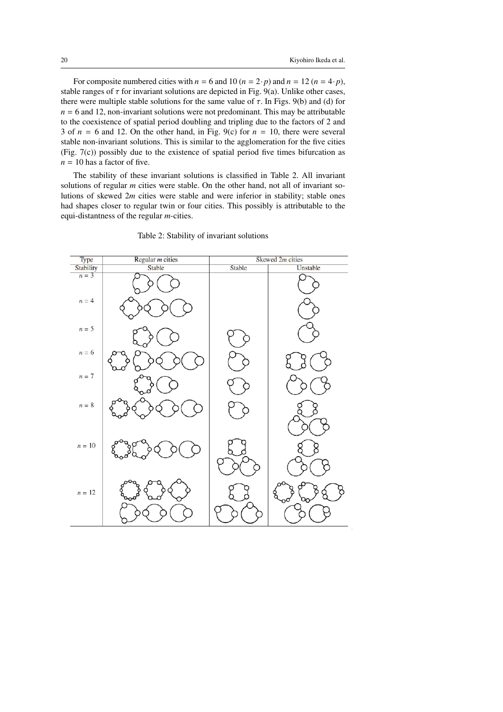For composite numbered cities with  $n = 6$  and  $10 (n = 2 \cdot p)$  and  $n = 12 (n = 4 \cdot p)$ , stable ranges of  $\tau$  for invariant solutions are depicted in Fig. 9(a). Unlike other cases, there were multiple stable solutions for the same value of  $\tau$ . In Figs. 9(b) and (d) for  $n = 6$  and 12, non-invariant solutions were not predominant. This may be attributable to the coexistence of spatial period doubling and tripling due to the factors of 2 and 3 of  $n = 6$  and 12. On the other hand, in Fig. 9(c) for  $n = 10$ , there were several stable non-invariant solutions. This is similar to the agglomeration for the five cities (Fig. 7(c)) possibly due to the existence of spatial period five times bifurcation as  $n = 10$  has a factor of five.

The stability of these invariant solutions is classified in Table 2. All invariant solutions of regular *m* cities were stable. On the other hand, not all of invariant solutions of skewed 2*m* cities were stable and were inferior in stability; stable ones had shapes closer to regular twin or four cities. This possibly is attributable to the equi-distantness of the regular *m*-cities.



Table 2: Stability of invariant solutions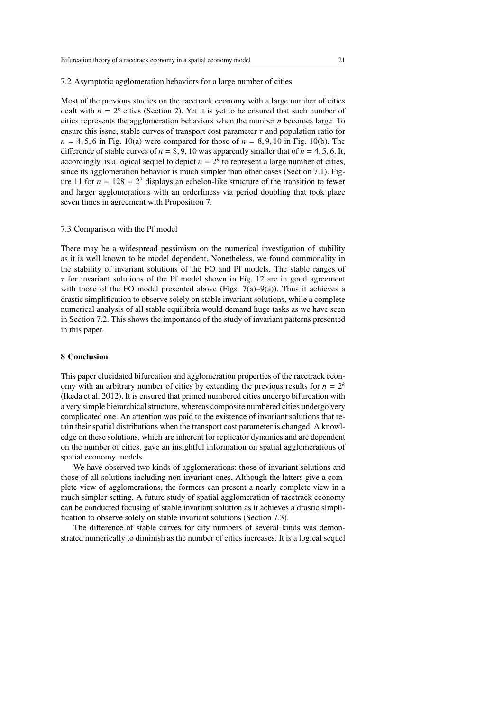#### 7.2 Asymptotic agglomeration behaviors for a large number of cities

Most of the previous studies on the racetrack economy with a large number of cities dealt with  $n = 2<sup>k</sup>$  cities (Section 2). Yet it is yet to be ensured that such number of cities represents the agglomeration behaviors when the number *n* becomes large. To ensure this issue, stable curves of transport cost parameter  $\tau$  and population ratio for  $n = 4, 5, 6$  in Fig. 10(a) were compared for those of  $n = 8, 9, 10$  in Fig. 10(b). The difference of stable curves of  $n = 8, 9, 10$  was apparently smaller that of  $n = 4, 5, 6$ . It, accordingly, is a logical sequel to depict  $n = 2<sup>k</sup>$  to represent a large number of cities, since its agglomeration behavior is much simpler than other cases (Section 7.1). Figure 11 for  $n = 128 = 2^7$  displays an echelon-like structure of the transition to fewer and larger agglomerations with an orderliness via period doubling that took place seven times in agreement with Proposition 7.

#### 7.3 Comparison with the Pf model

There may be a widespread pessimism on the numerical investigation of stability as it is well known to be model dependent. Nonetheless, we found commonality in the stability of invariant solutions of the FO and Pf models. The stable ranges of  $\tau$  for invariant solutions of the Pf model shown in Fig. 12 are in good agreement with those of the FO model presented above (Figs. 7(a)–9(a)). Thus it achieves a drastic simplification to observe solely on stable invariant solutions, while a complete numerical analysis of all stable equilibria would demand huge tasks as we have seen in Section 7.2. This shows the importance of the study of invariant patterns presented in this paper.

## 8 Conclusion

This paper elucidated bifurcation and agglomeration properties of the racetrack economy with an arbitrary number of cities by extending the previous results for  $n = 2<sup>k</sup>$ (Ikeda et al. 2012). It is ensured that primed numbered cities undergo bifurcation with a very simple hierarchical structure, whereas composite numbered cities undergo very complicated one. An attention was paid to the existence of invariant solutions that retain their spatial distributions when the transport cost parameter is changed. A knowledge on these solutions, which are inherent for replicator dynamics and are dependent on the number of cities, gave an insightful information on spatial agglomerations of spatial economy models.

We have observed two kinds of agglomerations: those of invariant solutions and those of all solutions including non-invariant ones. Although the latters give a complete view of agglomerations, the formers can present a nearly complete view in a much simpler setting. A future study of spatial agglomeration of racetrack economy can be conducted focusing of stable invariant solution as it achieves a drastic simplification to observe solely on stable invariant solutions (Section 7.3).

The difference of stable curves for city numbers of several kinds was demonstrated numerically to diminish as the number of cities increases. It is a logical sequel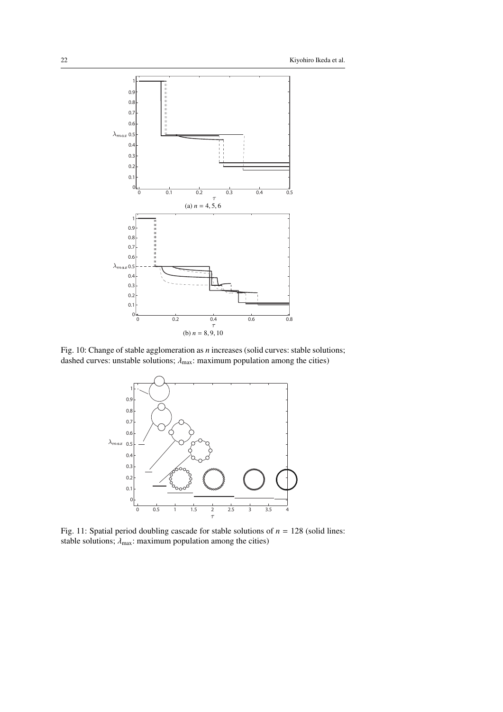

Fig. 10: Change of stable agglomeration as *n* increases (solid curves: stable solutions; dashed curves: unstable solutions;  $\lambda_{\text{max}}$ : maximum population among the cities)



Fig. 11: Spatial period doubling cascade for stable solutions of  $n = 128$  (solid lines: stable solutions;  $\lambda_{\text{max}}$ : maximum population among the cities)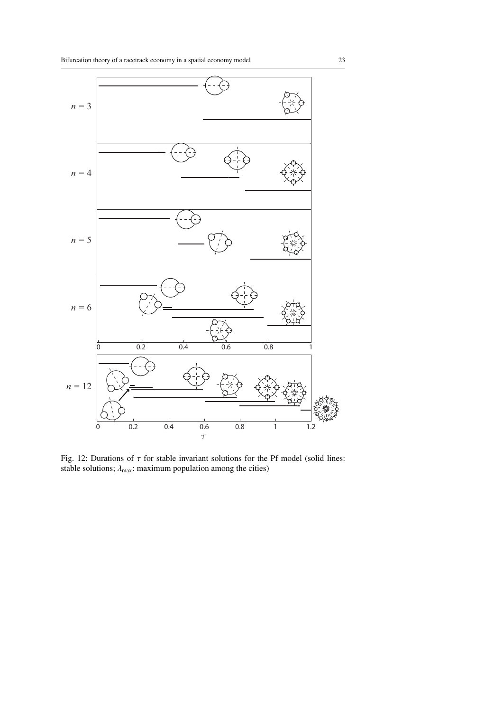

Fig. 12: Durations of  $\tau$  for stable invariant solutions for the Pf model (solid lines: stable solutions;  $\lambda_{\text{max}}$ : maximum population among the cities)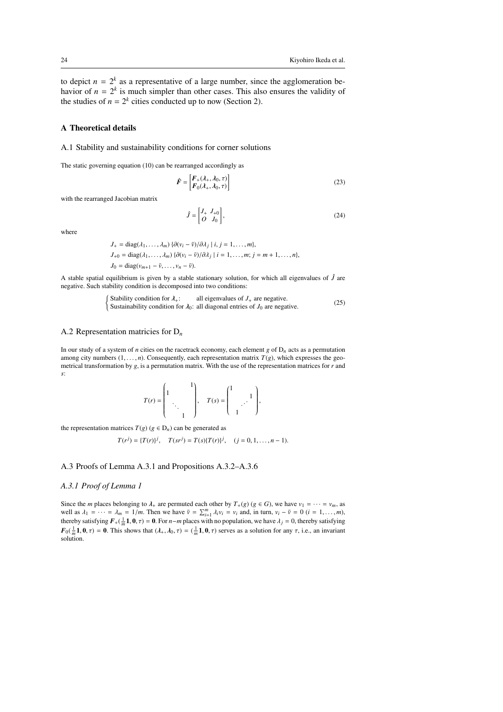to depict  $n = 2<sup>k</sup>$  as a representative of a large number, since the agglomeration behavior of  $n = 2<sup>k</sup>$  is much simpler than other cases. This also ensures the validity of the studies of  $n = 2^k$  cities conducted up to now (Section 2).

## A Theoretical details

#### A.1 Stability and sustainability conditions for corner solutions

The static governing equation (10) can be rearranged accordingly as

$$
\hat{F} = \begin{bmatrix} F_{+}(\lambda_{+}, \lambda_{0}, \tau) \\ F_{0}(\lambda_{+}, \lambda_{0}, \tau) \end{bmatrix}
$$
\n(23)

with the rearranged Jacobian matrix

$$
\hat{J} = \begin{bmatrix} J_+ & J_{+0} \\ O & J_0 \end{bmatrix},\tag{24}
$$

where

$$
J_{+} = \text{diag}(\lambda_1, \dots, \lambda_m) \{ \partial(v_i - \bar{v}) / \partial \lambda_j \mid i, j = 1, \dots, m \},
$$
  
\n
$$
J_{+0} = \text{diag}(\lambda_1, \dots, \lambda_m) \{ \partial(v_i - \bar{v}) / \partial \lambda_j \mid i = 1, \dots, m; j = m + 1, \dots, n \},
$$
  
\n
$$
J_0 = \text{diag}(v_{m+1} - \bar{v}, \dots, v_n - \bar{v}).
$$

A stable spatial equilibrium is given by a stable stationary solution, for which all eigenvalues of  $\hat{J}$  are negative. Such stability condition is decomposed into two conditions:

$$
\begin{cases}\n\text{Stability condition for } \lambda_+; \qquad \text{all eigenvalues of } J_+ \text{ are negative.} \\
\text{Sustainability condition for } \lambda_0; \text{ all diagonal entries of } J_0 \text{ are negative.}\n\end{cases} \tag{25}
$$

## A.2 Representation matricies for D*<sup>n</sup>*

In our study of a system of *n* cities on the racetrack economy, each element  $g$  of  $D_n$  acts as a permutation among city numbers  $(1, \ldots, n)$ . Consequently, each representation matrix  $T(g)$ , which expresses the geometrical transformation by *g*, is a permutation matrix. With the use of the representation matrices for *r* and *s*:

$$
T(r) = \begin{pmatrix} 1 & & 1 \\ 1 & & \\ & \ddots & \\ & & 1 \end{pmatrix}, \quad T(s) = \begin{pmatrix} 1 & & \\ & \ddots & \\ & 1 & \end{pmatrix},
$$

the representation matrices  $T(g)$  ( $g \in D_n$ ) can be generated as

$$
T(r^{j}) = {T(r)}^{j}, \quad T(sr^{j}) = T(s){T(r)}^{j}, \quad (j = 0, 1, ..., n-1).
$$

## A.3 Proofs of Lemma A.3.1 and Propositions A.3.2–A.3.6

#### *A.3.1 Proof of Lemma 1*

Since the *m* places belonging to  $\lambda_+$  are permuted each other by  $T_+(g)$  ( $g \in G$ ), we have  $v_1 = \cdots = v_m$ , as well as  $\lambda_1 = \cdots = \lambda_m = 1/m$ . Then we have  $\bar{v} = \sum_{i=1}^m \lambda_i v_i = v_i$  and, in turn,  $v_i - \bar{v} = 0$  (*i* = 1, ..., *m*), thereby satisfying  $F_+(\frac{1}{m}\mathbf{1}, \mathbf{0}, \tau) = \mathbf{0}$ . For  $n-m$  places with no population, we have  $\lambda_j = 0$ , thereby satisfying  $F_0(\frac{1}{m}, 1, 0, \tau) = 0$ . This shows that  $(\lambda_+, \lambda_0, \tau) = (\frac{1}{m}, 1, 0, \tau)$  serves as a solution for any  $\tau$ , i.e., an invariant solution.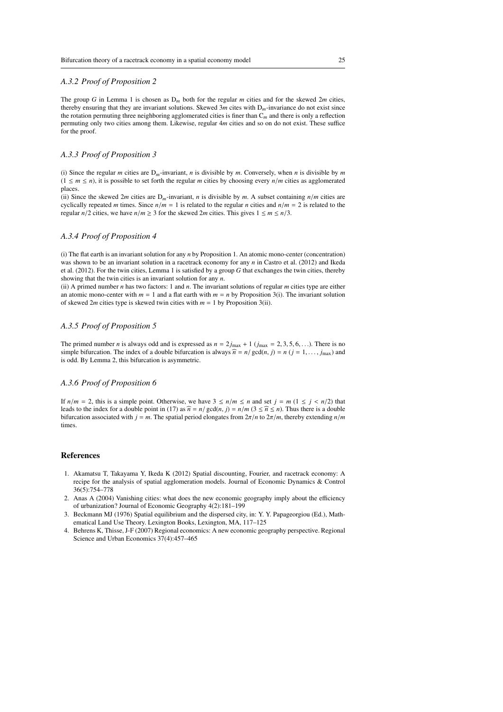## *A.3.2 Proof of Proposition 2*

The group *G* in Lemma 1 is chosen as D*<sup>m</sup>* both for the regular *m* cities and for the skewed 2*m* cities, thereby ensuring that they are invariant solutions. Skewed 3*m* cites with D*m*-invariance do not exist since the rotation permuting three neighboring agglomerated cities is finer than C*<sup>m</sup>* and there is only a reflection permuting only two cities among them. Likewise, regular 4*m* cities and so on do not exist. These suffice for the proof.

## *A.3.3 Proof of Proposition 3*

(i) Since the regular *m* cities are  $D_m$ -invariant, *n* is divisible by *m*. Conversely, when *n* is divisible by *m*  $(1 \le m \le n)$ , it is possible to set forth the regular *m* cities by choosing every  $n/m$  cities as agglomerated places.

(ii) Since the skewed 2*m* cities are  $D_m$ -invariant, *n* is divisible by *m*. A subset containing  $n/m$  cities are cyclically repeated *m* times. Since  $n/m = 1$  is related to the regular *n* cities and  $n/m = 2$  is related to the regular  $n/2$  cities, we have  $n/m \ge 3$  for the skewed 2*m* cities. This gives  $1 \le m \le n/3$ .

#### *A.3.4 Proof of Proposition 4*

(i) The flat earth is an invariant solution for any *n* by Proposition 1. An atomic mono-center (concentration) was shown to be an invariant solution in a racetrack economy for any *n* in Castro et al. (2012) and Ikeda et al. (2012). For the twin cities, Lemma 1 is satisfied by a group *G* that exchanges the twin cities, thereby showing that the twin cities is an invariant solution for any *n*.

(ii) A primed number *n* has two factors: 1 and *n*. The invariant solutions of regular *m* cities type are either an atomic mono-center with  $m = 1$  and a flat earth with  $m = n$  by Proposition 3(i). The invariant solution of skewed 2*m* cities type is skewed twin cities with  $m = 1$  by Proposition 3(ii).

## *A.3.5 Proof of Proposition 5*

The primed number *n* is always odd and is expressed as  $n = 2j_{\text{max}} + 1$  ( $j_{\text{max}} = 2, 3, 5, 6, \ldots$ ). There is no simple bifurcation. The index of a double bifurcation is always  $\hat{n} = n / \text{gcd}(n, j) = n (j = 1, \ldots, j_{\text{max}})$  and is odd. By Lemma 2, this bifurcation is asymmetric.

## *A.3.6 Proof of Proposition 6*

If  $n/m = 2$ , this is a simple point. Otherwise, we have  $3 \le n/m \le n$  and set  $j = m (1 \le j < n/2)$  that leads to the index for a double point in (17) as  $\hat{n} = n/\text{gcd}(n, j) = n/m$  (3  $\leq \hat{n} \leq n$ ). Thus there is a double bifurcation associated with  $j = m$ . The spatial period elongates from  $2\pi/n$  to  $2\pi/m$ , thereby extending  $n/m$ times.

#### References

- 1. Akamatsu T, Takayama Y, Ikeda K (2012) Spatial discounting, Fourier, and racetrack economy: A recipe for the analysis of spatial agglomeration models. Journal of Economic Dynamics & Control 36(5):754–778
- 2. Anas A (2004) Vanishing cities: what does the new economic geography imply about the efficiency of urbanization? Journal of Economic Geography 4(2):181–199
- 3. Beckmann MJ (1976) Spatial equilibrium and the dispersed city, in: Y. Y. Papageorgiou (Ed.), Mathematical Land Use Theory. Lexington Books, Lexington, MA, 117–125
- 4. Behrens K, Thisse, J-F (2007) Regional economics: A new economic geography perspective. Regional Science and Urban Economics 37(4):457–465